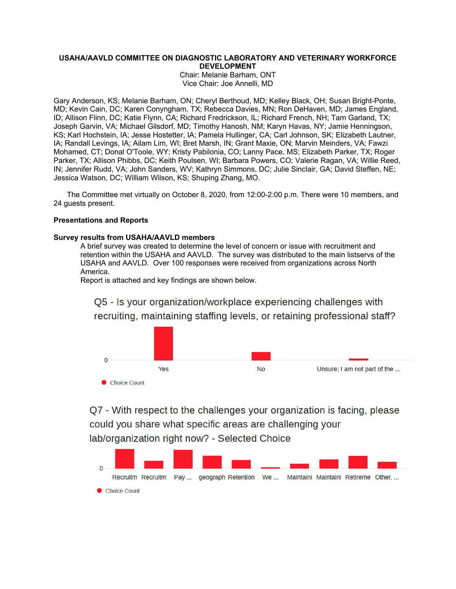## **USAHA/AAVLD COMMITTEE ON DIAGNOSTIC LABORATORY AND VETERINARY WORKFORCE DEVELOPMENT**

Chair: Melanie Barham, ONT Vice Chair: Joe Annelli, MD

Gary Anderson, KS; Melanie Barham, ON; Cheryl Berthoud, MD; Kelley Black, OH; Susan Bright-Ponte, MD; Kevin Cain, DC; Karen Conyngham, TX; Rebecca Davies, MN; Ron DeHaven, MD; James England, ID; Allison Flinn, DC; Katie Flynn, CA; Richard Fredrickson, IL; Richard French, NH; Tam Garland, TX; Joseph Garvin, VA; Michael Gilsdorf, MD; Timothy Hanosh, NM; Karyn Havas, NY; Jamie Henningson, KS; Karl Hochstein, IA; Jesse Hostetter, IA; Pamela Hullinger, CA; Carl Johnson, SK; Elizabeth Lautner, IA; Randall Levings, IA; Ailam Lim, WI; Bret Marsh, IN; Grant Maxie, ON; Marvin Meinders, VA; Fawzi Mohamed, CT; Donal O'Toole, WY; Kristy Pabilonia, CO; Lanny Pace, MS; Elizabeth Parker, TX; Roger Parker, TX; Allison Phibbs, DC; Keith Poulsen, WI; Barbara Powers, CO; Valerie Ragan, VA; Willie Reed, IN; Jennifer Rudd, VA; John Sanders, WV; Kathryn Simmons, DC; Julie Sinclair, GA; David Steffen, NE; Jessica Watson, DC; William Wilson, KS; Shuping Zhang, MO.

The Committee met virtually on October 8, 2020, from 12:00-2:00 p.m. There were 10 members, and 24 guests present.

# **Presentations and Reports**

## **Survey results from USAHA/AAVLD members**

A brief survey was created to determine the level of concern or issue with recruitment and retention within the USAHA and AAVLD. The survey was distributed to the main listservs of the USAHA and AAVLD. Over 100 responses were received from organizations across North America.

Report is attached and key findings are shown below.

Q5 - Is your organization/workplace experiencing challenges with recruiting, maintaining staffing levels, or retaining professional staff?



Q7 - With respect to the challenges your organization is facing, please could you share what specific areas are challenging your lab/organization right now? - Selected Choice